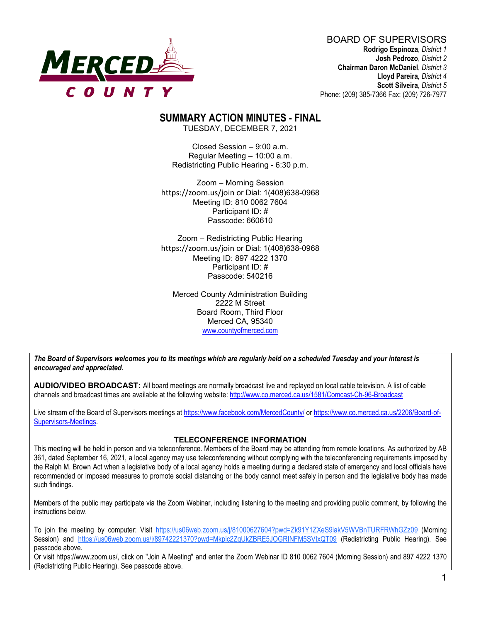

BOARD OF SUPERVISORS **Rodrigo Espinoza**, *District 1* **Josh Pedrozo**, *District 2*  **Chairman Daron McDaniel**, *District 3* **Lloyd Pareira***, District 4*  **Scott Silveira**, *District 5* Phone: (209) 385-7366 Fax: (209) 726-7977

# **SUMMARY ACTION MINUTES - FINAL**

TUESDAY, DECEMBER 7, 2021

Closed Session – 9:00 a.m. Regular Meeting – 10:00 a.m. Redistricting Public Hearing - 6:30 p.m.

Zoom – Morning Session https://zoom.us/join or Dial: 1(408)638-0968 Meeting ID: 810 0062 7604 Participant ID: # Passcode: 660610

Zoom – Redistricting Public Hearing https://zoom.us/join or Dial: 1(408)638-0968 Meeting ID: 897 4222 1370 Participant ID: # Passcode: 540216

Merced County Administration Building 2222 M Street Board Room, Third Floor Merced CA, 95340 www.countyofmerced.com

*The Board of Supervisors welcomes you to its meetings which are regularly held on a scheduled Tuesday and your interest is encouraged and appreciated.*

**AUDIO/VIDEO BROADCAST:** All board meetings are normally broadcast live and replayed on local cable television. A list of cable channels and broadcast times are available at the following website[: http://www.co.merced.ca.us/1581/Comcast-Ch-96-Broadcast](http://www.co.merced.ca.us/1581/Comcast-Ch-96-Broadcast)

Live stream of the Board of Supervisors meetings at<https://www.facebook.com/MercedCounty/> o[r https://www.co.merced.ca.us/2206/Board-of-](https://www.co.merced.ca.us/2206/Board-of-Supervisors-Meetings)[Supervisors-Meetings.](https://www.co.merced.ca.us/2206/Board-of-Supervisors-Meetings)

#### **TELECONFERENCE INFORMATION**

This meeting will be held in person and via teleconference. Members of the Board may be attending from remote locations. As authorized by AB 361, dated September 16, 2021, a local agency may use teleconferencing without complying with the teleconferencing requirements imposed by the Ralph M. Brown Act when a legislative body of a local agency holds a meeting during a declared state of emergency and local officials have recommended or imposed measures to promote social distancing or the body cannot meet safely in person and the legislative body has made such findings.

Members of the public may participate via the Zoom Webinar, including listening to the meeting and providing public comment, by following the instructions below.

To join the meeting by computer: Visit https://us06web.zoom.us/j/81000627604?pwd=Zk91Y1ZXeS9lakV5WVBnTURFRWhGZz09 (Morning Session) and https://us06web.zoom.us/j/89742221370?pwd=Mkpic2ZqUkZBRE5JOGRINFM5SVIxQT09 (Redistricting Public Hearing). See passcode above.

Or visit https://www.zoom.us/, click on "Join A Meeting" and enter the Zoom Webinar ID 810 0062 7604 (Morning Session) and 897 4222 1370 (Redistricting Public Hearing). See passcode above.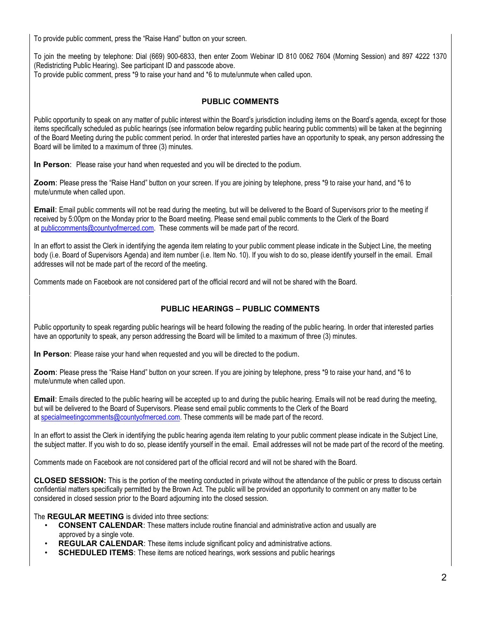To provide public comment, press the "Raise Hand" button on your screen.

To join the meeting by telephone: Dial (669) 900-6833, then enter Zoom Webinar ID 810 0062 7604 (Morning Session) and 897 4222 1370 (Redistricting Public Hearing). See participant ID and passcode above. To provide public comment, press \*9 to raise your hand and \*6 to mute/unmute when called upon.

### **PUBLIC COMMENTS**

Public opportunity to speak on any matter of public interest within the Board's jurisdiction including items on the Board's agenda, except for those items specifically scheduled as public hearings (see information below regarding public hearing public comments) will be taken at the beginning of the Board Meeting during the public comment period. In order that interested parties have an opportunity to speak, any person addressing the Board will be limited to a maximum of three (3) minutes.

**In Person**: Please raise your hand when requested and you will be directed to the podium.

**Zoom**: Please press the "Raise Hand" button on your screen. If you are joining by telephone, press \*9 to raise your hand, and \*6 to mute/unmute when called upon.

**Email**: Email public comments will not be read during the meeting, but will be delivered to the Board of Supervisors prior to the meeting if received by 5:00pm on the Monday prior to the Board meeting. Please send email public comments to the Clerk of the Board at [publiccomments@countyofmerced.com.](mailto:publiccomments@countyofmerced.com) These comments will be made part of the record.

In an effort to assist the Clerk in identifying the agenda item relating to your public comment please indicate in the Subject Line, the meeting body (i.e. Board of Supervisors Agenda) and item number (i.e. Item No. 10). If you wish to do so, please identify yourself in the email. Email addresses will not be made part of the record of the meeting.

Comments made on Facebook are not considered part of the official record and will not be shared with the Board.

### **PUBLIC HEARINGS – PUBLIC COMMENTS**

Public opportunity to speak regarding public hearings will be heard following the reading of the public hearing. In order that interested parties have an opportunity to speak, any person addressing the Board will be limited to a maximum of three (3) minutes.

**In Person**: Please raise your hand when requested and you will be directed to the podium.

**Zoom**: Please press the "Raise Hand" button on your screen. If you are joining by telephone, press \*9 to raise your hand, and \*6 to mute/unmute when called upon.

**Email**: Emails directed to the public hearing will be accepted up to and during the public hearing. Emails will not be read during the meeting, but will be delivered to the Board of Supervisors. Please send email public comments to the Clerk of the Board at [specialmeetingcomments@countyofmerced.com.](mailto:specialmeetingcomments@countyofmerced.com) These comments will be made part of the record.

In an effort to assist the Clerk in identifying the public hearing agenda item relating to your public comment please indicate in the Subject Line, the subject matter. If you wish to do so, please identify yourself in the email. Email addresses will not be made part of the record of the meeting.

Comments made on Facebook are not considered part of the official record and will not be shared with the Board.

**CLOSED SESSION:** This is the portion of the meeting conducted in private without the attendance of the public or press to discuss certain confidential matters specifically permitted by the Brown Act. The public will be provided an opportunity to comment on any matter to be considered in closed session prior to the Board adjourning into the closed session.

The **REGULAR MEETING** is divided into three sections:

- **CONSENT CALENDAR**: These matters include routine financial and administrative action and usually are approved by a single vote.
- **REGULAR CALENDAR:** These items include significant policy and administrative actions.
- **SCHEDULED ITEMS:** These items are noticed hearings, work sessions and public hearings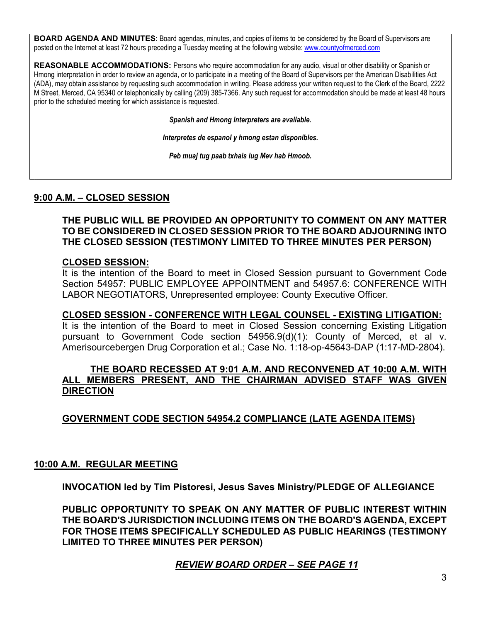**BOARD AGENDA AND MINUTES:** Board agendas, minutes, and copies of items to be considered by the Board of Supervisors are posted on the Internet at least 72 hours preceding a Tuesday meeting at the following website: [www.countyofmerced.com](http://www.countyofmerced.com/) 

**REASONABLE ACCOMMODATIONS:** Persons who require accommodation for any audio, visual or other disability or Spanish or Hmong interpretation in order to review an agenda, or to participate in a meeting of the Board of Supervisors per the American Disabilities Act (ADA), may obtain assistance by requesting such accommodation in writing. Please address your written request to the Clerk of the Board, 2222 M Street, Merced, CA 95340 or telephonically by calling (209) 385-7366. Any such request for accommodation should be made at least 48 hours prior to the scheduled meeting for which assistance is requested.

*Spanish and Hmong interpreters are available.*

*Interpretes de espanol y hmong estan disponibles.*

*Peb muaj tug paab txhais lug Mev hab Hmoob.* 

### **9:00 A.M. – CLOSED SESSION**

### **THE PUBLIC WILL BE PROVIDED AN OPPORTUNITY TO COMMENT ON ANY MATTER TO BE CONSIDERED IN CLOSED SESSION PRIOR TO THE BOARD ADJOURNING INTO THE CLOSED SESSION (TESTIMONY LIMITED TO THREE MINUTES PER PERSON)**

### **CLOSED SESSION:**

It is the intention of the Board to meet in Closed Session pursuant to Government Code Section 54957: PUBLIC EMPLOYEE APPOINTMENT and 54957.6: CONFERENCE WITH LABOR NEGOTIATORS, Unrepresented employee: County Executive Officer.

#### **CLOSED SESSION - CONFERENCE WITH LEGAL COUNSEL - EXISTING LITIGATION:**

It is the intention of the Board to meet in Closed Session concerning Existing Litigation pursuant to Government Code section 54956.9(d)(1): County of Merced, et al v. Amerisourcebergen Drug Corporation et al.; Case No. 1:18-op-45643-DAP (1:17-MD-2804).

### **THE BOARD RECESSED AT 9:01 A.M. AND RECONVENED AT 10:00 A.M. WITH ALL MEMBERS PRESENT, AND THE CHAIRMAN ADVISED STAFF WAS GIVEN DIRECTION**

# **GOVERNMENT CODE SECTION 54954.2 COMPLIANCE (LATE AGENDA ITEMS)**

#### **10:00 A.M. REGULAR MEETING**

**INVOCATION led by Tim Pistoresi, Jesus Saves Ministry/PLEDGE OF ALLEGIANCE**

**PUBLIC OPPORTUNITY TO SPEAK ON ANY MATTER OF PUBLIC INTEREST WITHIN THE BOARD'S JURISDICTION INCLUDING ITEMS ON THE BOARD'S AGENDA, EXCEPT FOR THOSE ITEMS SPECIFICALLY SCHEDULED AS PUBLIC HEARINGS (TESTIMONY LIMITED TO THREE MINUTES PER PERSON)**

### *REVIEW BOARD ORDER – SEE PAGE 11*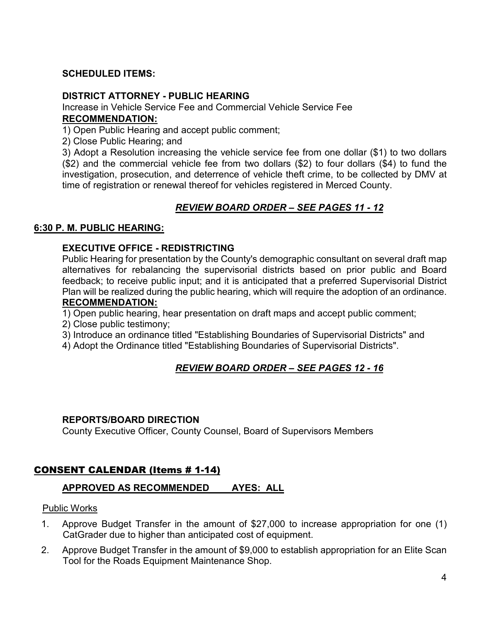### **SCHEDULED ITEMS:**

### **DISTRICT ATTORNEY - PUBLIC HEARING**

Increase in Vehicle Service Fee and Commercial Vehicle Service Fee **RECOMMENDATION:**

1) Open Public Hearing and accept public comment;

2) Close Public Hearing; and

3) Adopt a Resolution increasing the vehicle service fee from one dollar (\$1) to two dollars (\$2) and the commercial vehicle fee from two dollars (\$2) to four dollars (\$4) to fund the investigation, prosecution, and deterrence of vehicle theft crime, to be collected by DMV at time of registration or renewal thereof for vehicles registered in Merced County.

# *REVIEW BOARD ORDER – SEE PAGES 11 - 12*

### **6:30 P. M. PUBLIC HEARING:**

### **EXECUTIVE OFFICE - REDISTRICTING**

Public Hearing for presentation by the County's demographic consultant on several draft map alternatives for rebalancing the supervisorial districts based on prior public and Board feedback; to receive public input; and it is anticipated that a preferred Supervisorial District Plan will be realized during the public hearing, which will require the adoption of an ordinance. **RECOMMENDATION:**

1) Open public hearing, hear presentation on draft maps and accept public comment;

2) Close public testimony;

3) Introduce an ordinance titled "Establishing Boundaries of Supervisorial Districts" and

4) Adopt the Ordinance titled "Establishing Boundaries of Supervisorial Districts".

# *REVIEW BOARD ORDER – SEE PAGES 12 - 16*

### **REPORTS/BOARD DIRECTION**

County Executive Officer, County Counsel, Board of Supervisors Members

# CONSENT CALENDAR (Items # 1-14)

# **APPROVED AS RECOMMENDED AYES: ALL**

### Public Works

- 1. Approve Budget Transfer in the amount of \$27,000 to increase appropriation for one (1) CatGrader due to higher than anticipated cost of equipment.
- 2. Approve Budget Transfer in the amount of \$9,000 to establish appropriation for an Elite Scan Tool for the Roads Equipment Maintenance Shop.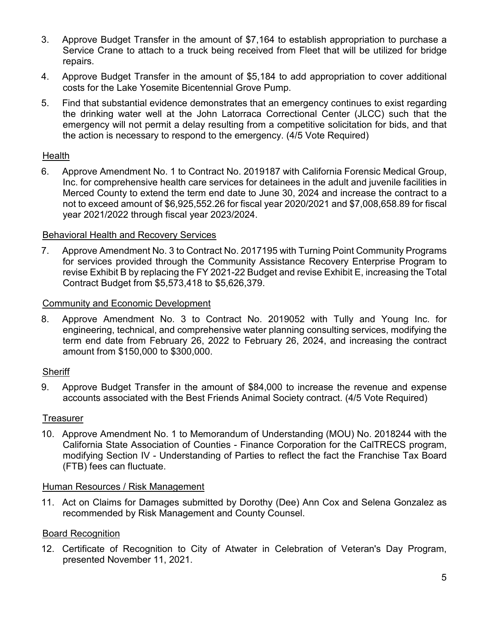- 3. Approve Budget Transfer in the amount of \$7,164 to establish appropriation to purchase a Service Crane to attach to a truck being received from Fleet that will be utilized for bridge repairs.
- 4. Approve Budget Transfer in the amount of \$5,184 to add appropriation to cover additional costs for the Lake Yosemite Bicentennial Grove Pump.
- 5. Find that substantial evidence demonstrates that an emergency continues to exist regarding the drinking water well at the John Latorraca Correctional Center (JLCC) such that the emergency will not permit a delay resulting from a competitive solicitation for bids, and that the action is necessary to respond to the emergency. (4/5 Vote Required)

### **Health**

6. Approve Amendment No. 1 to Contract No. 2019187 with California Forensic Medical Group, Inc. for comprehensive health care services for detainees in the adult and juvenile facilities in Merced County to extend the term end date to June 30, 2024 and increase the contract to a not to exceed amount of \$6,925,552.26 for fiscal year 2020/2021 and \$7,008,658.89 for fiscal year 2021/2022 through fiscal year 2023/2024.

### Behavioral Health and Recovery Services

7. Approve Amendment No. 3 to Contract No. 2017195 with Turning Point Community Programs for services provided through the Community Assistance Recovery Enterprise Program to revise Exhibit B by replacing the FY 2021-22 Budget and revise Exhibit E, increasing the Total Contract Budget from \$5,573,418 to \$5,626,379.

#### Community and Economic Development

8. Approve Amendment No. 3 to Contract No. 2019052 with Tully and Young Inc. for engineering, technical, and comprehensive water planning consulting services, modifying the term end date from February 26, 2022 to February 26, 2024, and increasing the contract amount from \$150,000 to \$300,000.

#### **Sheriff**

9. Approve Budget Transfer in the amount of \$84,000 to increase the revenue and expense accounts associated with the Best Friends Animal Society contract. (4/5 Vote Required)

#### **Treasurer**

10. Approve Amendment No. 1 to Memorandum of Understanding (MOU) No. 2018244 with the California State Association of Counties - Finance Corporation for the CalTRECS program, modifying Section IV - Understanding of Parties to reflect the fact the Franchise Tax Board (FTB) fees can fluctuate.

### Human Resources / Risk Management

11. Act on Claims for Damages submitted by Dorothy (Dee) Ann Cox and Selena Gonzalez as recommended by Risk Management and County Counsel.

#### Board Recognition

12. Certificate of Recognition to City of Atwater in Celebration of Veteran's Day Program, presented November 11, 2021.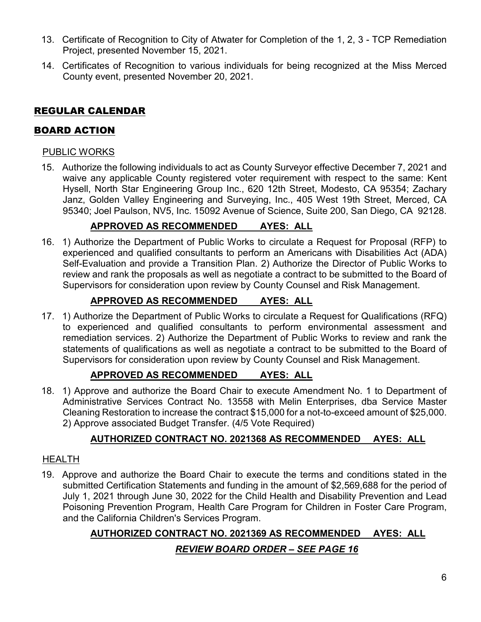- 13. Certificate of Recognition to City of Atwater for Completion of the 1, 2, 3 TCP Remediation Project, presented November 15, 2021.
- 14. Certificates of Recognition to various individuals for being recognized at the Miss Merced County event, presented November 20, 2021.

# REGULAR CALENDAR

# BOARD ACTION

# PUBLIC WORKS

15. Authorize the following individuals to act as County Surveyor effective December 7, 2021 and waive any applicable County registered voter requirement with respect to the same: Kent Hysell, North Star Engineering Group Inc., 620 12th Street, Modesto, CA 95354; Zachary Janz, Golden Valley Engineering and Surveying, Inc., 405 West 19th Street, Merced, CA 95340; Joel Paulson, NV5, Inc. 15092 Avenue of Science, Suite 200, San Diego, CA 92128.

# **APPROVED AS RECOMMENDED AYES: ALL**

16. 1) Authorize the Department of Public Works to circulate a Request for Proposal (RFP) to experienced and qualified consultants to perform an Americans with Disabilities Act (ADA) Self-Evaluation and provide a Transition Plan. 2) Authorize the Director of Public Works to review and rank the proposals as well as negotiate a contract to be submitted to the Board of Supervisors for consideration upon review by County Counsel and Risk Management.

# **APPROVED AS RECOMMENDED AYES: ALL**

17. 1) Authorize the Department of Public Works to circulate a Request for Qualifications (RFQ) to experienced and qualified consultants to perform environmental assessment and remediation services. 2) Authorize the Department of Public Works to review and rank the statements of qualifications as well as negotiate a contract to be submitted to the Board of Supervisors for consideration upon review by County Counsel and Risk Management.

# **APPROVED AS RECOMMENDED AYES: ALL**

18. 1) Approve and authorize the Board Chair to execute Amendment No. 1 to Department of Administrative Services Contract No. 13558 with Melin Enterprises, dba Service Master Cleaning Restoration to increase the contract \$15,000 for a not-to-exceed amount of \$25,000. 2) Approve associated Budget Transfer. (4/5 Vote Required)

# **AUTHORIZED CONTRACT NO. 2021368 AS RECOMMENDED AYES: ALL**

# HEALTH

19. Approve and authorize the Board Chair to execute the terms and conditions stated in the submitted Certification Statements and funding in the amount of \$2,569,688 for the period of July 1, 2021 through June 30, 2022 for the Child Health and Disability Prevention and Lead Poisoning Prevention Program, Health Care Program for Children in Foster Care Program, and the California Children's Services Program.

# **AUTHORIZED CONTRACT NO. 2021369 AS RECOMMENDED AYES: ALL**

# *REVIEW BOARD ORDER – SEE PAGE 16*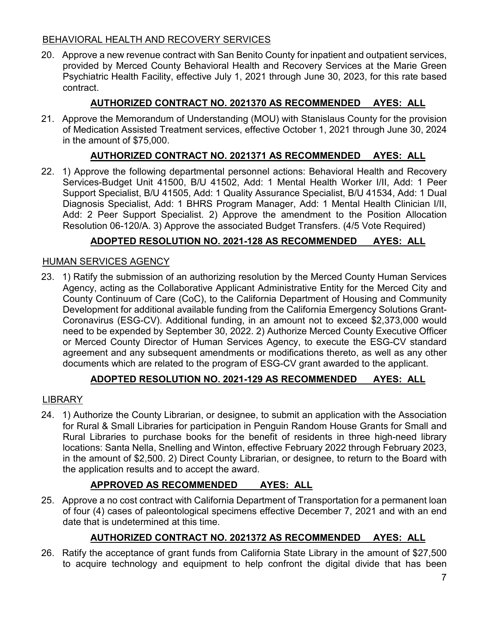# BEHAVIORAL HEALTH AND RECOVERY SERVICES

20. Approve a new revenue contract with San Benito County for inpatient and outpatient services, provided by Merced County Behavioral Health and Recovery Services at the Marie Green Psychiatric Health Facility, effective July 1, 2021 through June 30, 2023, for this rate based contract.

# **AUTHORIZED CONTRACT NO. 2021370 AS RECOMMENDED AYES: ALL**

21. Approve the Memorandum of Understanding (MOU) with Stanislaus County for the provision of Medication Assisted Treatment services, effective October 1, 2021 through June 30, 2024 in the amount of \$75,000.

# **AUTHORIZED CONTRACT NO. 2021371 AS RECOMMENDED AYES: ALL**

22. 1) Approve the following departmental personnel actions: Behavioral Health and Recovery Services-Budget Unit 41500, B/U 41502, Add: 1 Mental Health Worker I/II, Add: 1 Peer Support Specialist, B/U 41505, Add: 1 Quality Assurance Specialist, B/U 41534, Add: 1 Dual Diagnosis Specialist, Add: 1 BHRS Program Manager, Add: 1 Mental Health Clinician I/II, Add: 2 Peer Support Specialist. 2) Approve the amendment to the Position Allocation Resolution 06-120/A. 3) Approve the associated Budget Transfers. (4/5 Vote Required)

# **ADOPTED RESOLUTION NO. 2021-128 AS RECOMMENDED AYES: ALL**

# HUMAN SERVICES AGENCY

23. 1) Ratify the submission of an authorizing resolution by the Merced County Human Services Agency, acting as the Collaborative Applicant Administrative Entity for the Merced City and County Continuum of Care (CoC), to the California Department of Housing and Community Development for additional available funding from the California Emergency Solutions Grant-Coronavirus (ESG-CV). Additional funding, in an amount not to exceed \$2,373,000 would need to be expended by September 30, 2022. 2) Authorize Merced County Executive Officer or Merced County Director of Human Services Agency, to execute the ESG-CV standard agreement and any subsequent amendments or modifications thereto, as well as any other documents which are related to the program of ESG-CV grant awarded to the applicant.

# **ADOPTED RESOLUTION NO. 2021-129 AS RECOMMENDED AYES: ALL**

# LIBRARY

24. 1) Authorize the County Librarian, or designee, to submit an application with the Association for Rural & Small Libraries for participation in Penguin Random House Grants for Small and Rural Libraries to purchase books for the benefit of residents in three high-need library locations: Santa Nella, Snelling and Winton, effective February 2022 through February 2023, in the amount of \$2,500. 2) Direct County Librarian, or designee, to return to the Board with the application results and to accept the award.

# **APPROVED AS RECOMMENDED AYES: ALL**

25. Approve a no cost contract with California Department of Transportation for a permanent loan of four (4) cases of paleontological specimens effective December 7, 2021 and with an end date that is undetermined at this time.

# **AUTHORIZED CONTRACT NO. 2021372 AS RECOMMENDED AYES: ALL**

26. Ratify the acceptance of grant funds from California State Library in the amount of \$27,500 to acquire technology and equipment to help confront the digital divide that has been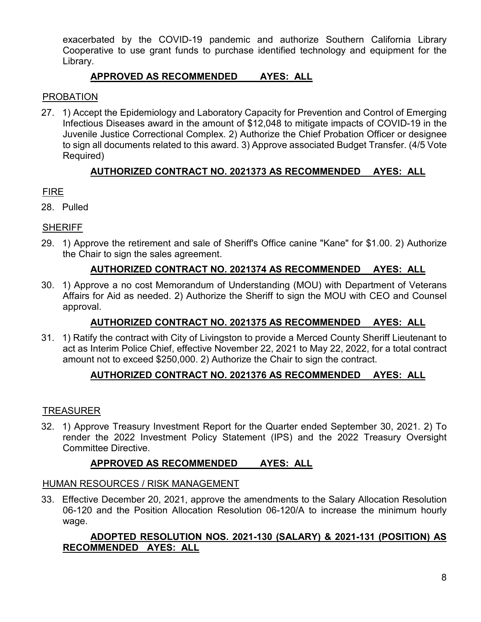exacerbated by the COVID-19 pandemic and authorize Southern California Library Cooperative to use grant funds to purchase identified technology and equipment for the Library.

# **APPROVED AS RECOMMENDED AYES: ALL**

# PROBATION

27. 1) Accept the Epidemiology and Laboratory Capacity for Prevention and Control of Emerging Infectious Diseases award in the amount of \$12,048 to mitigate impacts of COVID-19 in the Juvenile Justice Correctional Complex. 2) Authorize the Chief Probation Officer or designee to sign all documents related to this award. 3) Approve associated Budget Transfer. (4/5 Vote Required)

# **AUTHORIZED CONTRACT NO. 2021373 AS RECOMMENDED AYES: ALL**

# FIRE

28. Pulled

# **SHERIFF**

29. 1) Approve the retirement and sale of Sheriff's Office canine "Kane" for \$1.00. 2) Authorize the Chair to sign the sales agreement.

# **AUTHORIZED CONTRACT NO. 2021374 AS RECOMMENDED AYES: ALL**

30. 1) Approve a no cost Memorandum of Understanding (MOU) with Department of Veterans Affairs for Aid as needed. 2) Authorize the Sheriff to sign the MOU with CEO and Counsel approval.

# **AUTHORIZED CONTRACT NO. 2021375 AS RECOMMENDED AYES: ALL**

31. 1) Ratify the contract with City of Livingston to provide a Merced County Sheriff Lieutenant to act as Interim Police Chief, effective November 22, 2021 to May 22, 2022, for a total contract amount not to exceed \$250,000. 2) Authorize the Chair to sign the contract.

# **AUTHORIZED CONTRACT NO. 2021376 AS RECOMMENDED AYES: ALL**

# TREASURER

32. 1) Approve Treasury Investment Report for the Quarter ended September 30, 2021. 2) To render the 2022 Investment Policy Statement (IPS) and the 2022 Treasury Oversight Committee Directive.

# **APPROVED AS RECOMMENDED AYES: ALL**

# HUMAN RESOURCES / RISK MANAGEMENT

33. Effective December 20, 2021, approve the amendments to the Salary Allocation Resolution 06-120 and the Position Allocation Resolution 06-120/A to increase the minimum hourly wage.

# **ADOPTED RESOLUTION NOS. 2021-130 (SALARY) & 2021-131 (POSITION) AS RECOMMENDED AYES: ALL**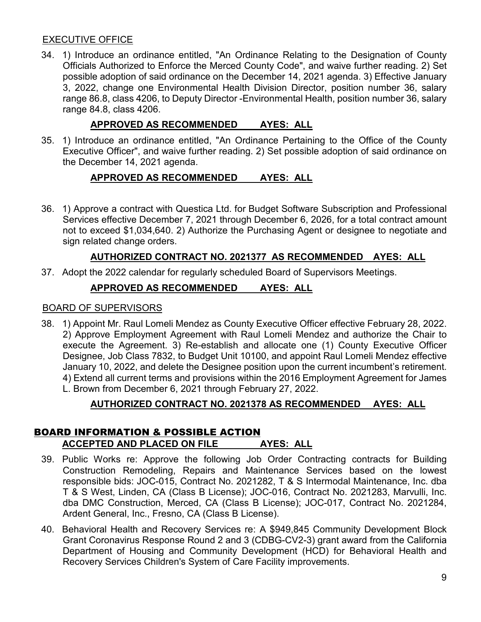### EXECUTIVE OFFICE

34. 1) Introduce an ordinance entitled, "An Ordinance Relating to the Designation of County Officials Authorized to Enforce the Merced County Code", and waive further reading. 2) Set possible adoption of said ordinance on the December 14, 2021 agenda. 3) Effective January 3, 2022, change one Environmental Health Division Director, position number 36, salary range 86.8, class 4206, to Deputy Director -Environmental Health, position number 36, salary range 84.8, class 4206.

# **APPROVED AS RECOMMENDED AYES: ALL**

35. 1) Introduce an ordinance entitled, "An Ordinance Pertaining to the Office of the County Executive Officer", and waive further reading. 2) Set possible adoption of said ordinance on the December 14, 2021 agenda.

# **APPROVED AS RECOMMENDED AYES: ALL**

36. 1) Approve a contract with Questica Ltd. for Budget Software Subscription and Professional Services effective December 7, 2021 through December 6, 2026, for a total contract amount not to exceed \$1,034,640. 2) Authorize the Purchasing Agent or designee to negotiate and sign related change orders.

# **AUTHORIZED CONTRACT NO. 2021377 AS RECOMMENDED AYES: ALL**

37. Adopt the 2022 calendar for regularly scheduled Board of Supervisors Meetings.

# **APPROVED AS RECOMMENDED AYES: ALL**

### BOARD OF SUPERVISORS

38. 1) Appoint Mr. Raul Lomeli Mendez as County Executive Officer effective February 28, 2022. 2) Approve Employment Agreement with Raul Lomeli Mendez and authorize the Chair to execute the Agreement. 3) Re-establish and allocate one (1) County Executive Officer Designee, Job Class 7832, to Budget Unit 10100, and appoint Raul Lomeli Mendez effective January 10, 2022, and delete the Designee position upon the current incumbent's retirement. 4) Extend all current terms and provisions within the 2016 Employment Agreement for James L. Brown from December 6, 2021 through February 27, 2022.

# **AUTHORIZED CONTRACT NO. 2021378 AS RECOMMENDED AYES: ALL**

# BOARD INFORMATION & POSSIBLE ACTION **ACCEPTED AND PLACED ON FILE AYES: ALL**

- 39. Public Works re: Approve the following Job Order Contracting contracts for Building Construction Remodeling, Repairs and Maintenance Services based on the lowest responsible bids: JOC-015, Contract No. 2021282, T & S Intermodal Maintenance, Inc. dba T & S West, Linden, CA (Class B License); JOC-016, Contract No. 2021283, Marvulli, Inc. dba DMC Construction, Merced, CA (Class B License); JOC-017, Contract No. 2021284, Ardent General, Inc., Fresno, CA (Class B License).
- 40. Behavioral Health and Recovery Services re: A \$949,845 Community Development Block Grant Coronavirus Response Round 2 and 3 (CDBG-CV2-3) grant award from the California Department of Housing and Community Development (HCD) for Behavioral Health and Recovery Services Children's System of Care Facility improvements.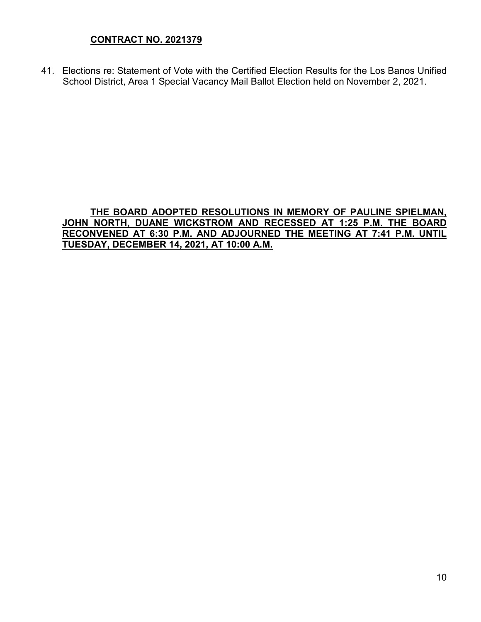# **CONTRACT NO. 2021379**

41. Elections re: Statement of Vote with the Certified Election Results for the Los Banos Unified School District, Area 1 Special Vacancy Mail Ballot Election held on November 2, 2021.

### **THE BOARD ADOPTED RESOLUTIONS IN MEMORY OF PAULINE SPIELMAN, JOHN NORTH, DUANE WICKSTROM AND RECESSED AT 1:25 P.M. THE BOARD RECONVENED AT 6:30 P.M. AND ADJOURNED THE MEETING AT 7:41 P.M. UNTIL TUESDAY, DECEMBER 14, 2021, AT 10:00 A.M.**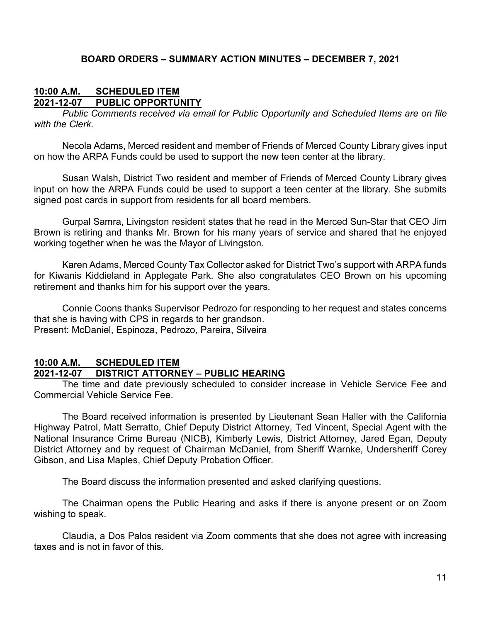### **BOARD ORDERS – SUMMARY ACTION MINUTES – DECEMBER 7, 2021**

### **10:00 A.M. SCHEDULED ITEM 2021-12-07 PUBLIC OPPORTUNITY**

*Public Comments received via email for Public Opportunity and Scheduled Items are on file with the Clerk.*

Necola Adams, Merced resident and member of Friends of Merced County Library gives input on how the ARPA Funds could be used to support the new teen center at the library.

Susan Walsh, District Two resident and member of Friends of Merced County Library gives input on how the ARPA Funds could be used to support a teen center at the library. She submits signed post cards in support from residents for all board members.

Gurpal Samra, Livingston resident states that he read in the Merced Sun-Star that CEO Jim Brown is retiring and thanks Mr. Brown for his many years of service and shared that he enjoyed working together when he was the Mayor of Livingston.

Karen Adams, Merced County Tax Collector asked for District Two's support with ARPA funds for Kiwanis Kiddieland in Applegate Park. She also congratulates CEO Brown on his upcoming retirement and thanks him for his support over the years.

Connie Coons thanks Supervisor Pedrozo for responding to her request and states concerns that she is having with CPS in regards to her grandson. Present: McDaniel, Espinoza, Pedrozo, Pareira, Silveira

### **10:00 A.M. SCHEDULED ITEM 2021-12-07 DISTRICT ATTORNEY – PUBLIC HEARING**

The time and date previously scheduled to consider increase in Vehicle Service Fee and Commercial Vehicle Service Fee.

The Board received information is presented by Lieutenant Sean Haller with the California Highway Patrol, Matt Serratto, Chief Deputy District Attorney, Ted Vincent, Special Agent with the National Insurance Crime Bureau (NICB), Kimberly Lewis, District Attorney, Jared Egan, Deputy District Attorney and by request of Chairman McDaniel, from Sheriff Warnke, Undersheriff Corey Gibson, and Lisa Maples, Chief Deputy Probation Officer.

The Board discuss the information presented and asked clarifying questions.

The Chairman opens the Public Hearing and asks if there is anyone present or on Zoom wishing to speak.

Claudia, a Dos Palos resident via Zoom comments that she does not agree with increasing taxes and is not in favor of this.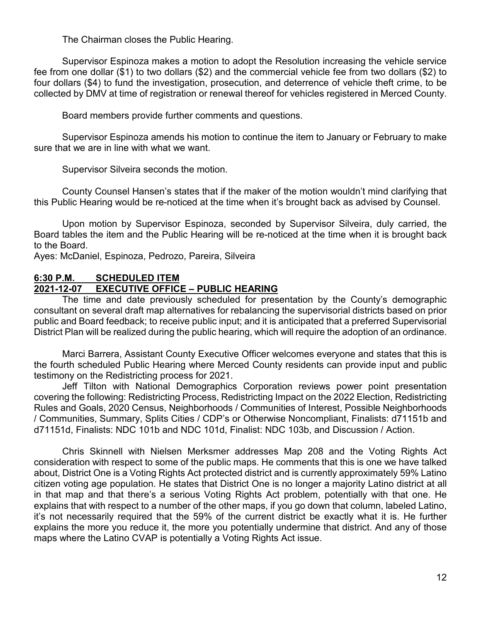The Chairman closes the Public Hearing.

Supervisor Espinoza makes a motion to adopt the Resolution increasing the vehicle service fee from one dollar (\$1) to two dollars (\$2) and the commercial vehicle fee from two dollars (\$2) to four dollars (\$4) to fund the investigation, prosecution, and deterrence of vehicle theft crime, to be collected by DMV at time of registration or renewal thereof for vehicles registered in Merced County.

Board members provide further comments and questions.

Supervisor Espinoza amends his motion to continue the item to January or February to make sure that we are in line with what we want.

Supervisor Silveira seconds the motion.

County Counsel Hansen's states that if the maker of the motion wouldn't mind clarifying that this Public Hearing would be re-noticed at the time when it's brought back as advised by Counsel.

Upon motion by Supervisor Espinoza, seconded by Supervisor Silveira, duly carried, the Board tables the item and the Public Hearing will be re-noticed at the time when it is brought back to the Board.

Ayes: McDaniel, Espinoza, Pedrozo, Pareira, Silveira

# **6:30 P.M. SCHEDULED ITEM**

# **2021-12-07 EXECUTIVE OFFICE – PUBLIC HEARING**

The time and date previously scheduled for presentation by the County's demographic consultant on several draft map alternatives for rebalancing the supervisorial districts based on prior public and Board feedback; to receive public input; and it is anticipated that a preferred Supervisorial District Plan will be realized during the public hearing, which will require the adoption of an ordinance.

Marci Barrera, Assistant County Executive Officer welcomes everyone and states that this is the fourth scheduled Public Hearing where Merced County residents can provide input and public testimony on the Redistricting process for 2021.

Jeff Tilton with National Demographics Corporation reviews power point presentation covering the following: Redistricting Process, Redistricting Impact on the 2022 Election, Redistricting Rules and Goals, 2020 Census, Neighborhoods / Communities of Interest, Possible Neighborhoods / Communities, Summary, Splits Cities / CDP's or Otherwise Noncompliant, Finalists: d71151b and d71151d, Finalists: NDC 101b and NDC 101d, Finalist: NDC 103b, and Discussion / Action.

Chris Skinnell with Nielsen Merksmer addresses Map 208 and the Voting Rights Act consideration with respect to some of the public maps. He comments that this is one we have talked about, District One is a Voting Rights Act protected district and is currently approximately 59% Latino citizen voting age population. He states that District One is no longer a majority Latino district at all in that map and that there's a serious Voting Rights Act problem, potentially with that one. He explains that with respect to a number of the other maps, if you go down that column, labeled Latino, it's not necessarily required that the 59% of the current district be exactly what it is. He further explains the more you reduce it, the more you potentially undermine that district. And any of those maps where the Latino CVAP is potentially a Voting Rights Act issue.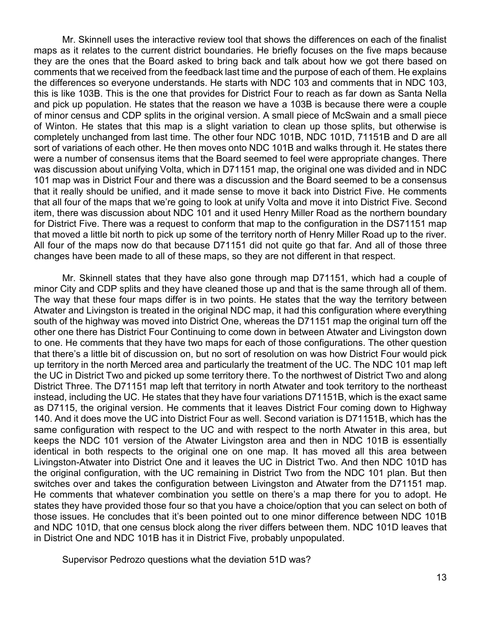Mr. Skinnell uses the interactive review tool that shows the differences on each of the finalist maps as it relates to the current district boundaries. He briefly focuses on the five maps because they are the ones that the Board asked to bring back and talk about how we got there based on comments that we received from the feedback last time and the purpose of each of them. He explains the differences so everyone understands. He starts with NDC 103 and comments that in NDC 103, this is like 103B. This is the one that provides for District Four to reach as far down as Santa Nella and pick up population. He states that the reason we have a 103B is because there were a couple of minor census and CDP splits in the original version. A small piece of McSwain and a small piece of Winton. He states that this map is a slight variation to clean up those splits, but otherwise is completely unchanged from last time. The other four NDC 101B, NDC 101D, 71151B and D are all sort of variations of each other. He then moves onto NDC 101B and walks through it. He states there were a number of consensus items that the Board seemed to feel were appropriate changes. There was discussion about unifying Volta, which in D71151 map, the original one was divided and in NDC 101 map was in District Four and there was a discussion and the Board seemed to be a consensus that it really should be unified, and it made sense to move it back into District Five. He comments that all four of the maps that we're going to look at unify Volta and move it into District Five. Second item, there was discussion about NDC 101 and it used Henry Miller Road as the northern boundary for District Five. There was a request to conform that map to the configuration in the DS71151 map that moved a little bit north to pick up some of the territory north of Henry Miller Road up to the river. All four of the maps now do that because D71151 did not quite go that far. And all of those three changes have been made to all of these maps, so they are not different in that respect.

Mr. Skinnell states that they have also gone through map D71151, which had a couple of minor City and CDP splits and they have cleaned those up and that is the same through all of them. The way that these four maps differ is in two points. He states that the way the territory between Atwater and Livingston is treated in the original NDC map, it had this configuration where everything south of the highway was moved into District One, whereas the D71151 map the original turn off the other one there has District Four Continuing to come down in between Atwater and Livingston down to one. He comments that they have two maps for each of those configurations. The other question that there's a little bit of discussion on, but no sort of resolution on was how District Four would pick up territory in the north Merced area and particularly the treatment of the UC. The NDC 101 map left the UC in District Two and picked up some territory there. To the northwest of District Two and along District Three. The D71151 map left that territory in north Atwater and took territory to the northeast instead, including the UC. He states that they have four variations D71151B, which is the exact same as D7115, the original version. He comments that it leaves District Four coming down to Highway 140. And it does move the UC into District Four as well. Second variation is D71151B, which has the same configuration with respect to the UC and with respect to the north Atwater in this area, but keeps the NDC 101 version of the Atwater Livingston area and then in NDC 101B is essentially identical in both respects to the original one on one map. It has moved all this area between Livingston-Atwater into District One and it leaves the UC in District Two. And then NDC 101D has the original configuration, with the UC remaining in District Two from the NDC 101 plan. But then switches over and takes the configuration between Livingston and Atwater from the D71151 map. He comments that whatever combination you settle on there's a map there for you to adopt. He states they have provided those four so that you have a choice/option that you can select on both of those issues. He concludes that it's been pointed out to one minor difference between NDC 101B and NDC 101D, that one census block along the river differs between them. NDC 101D leaves that in District One and NDC 101B has it in District Five, probably unpopulated.

Supervisor Pedrozo questions what the deviation 51D was?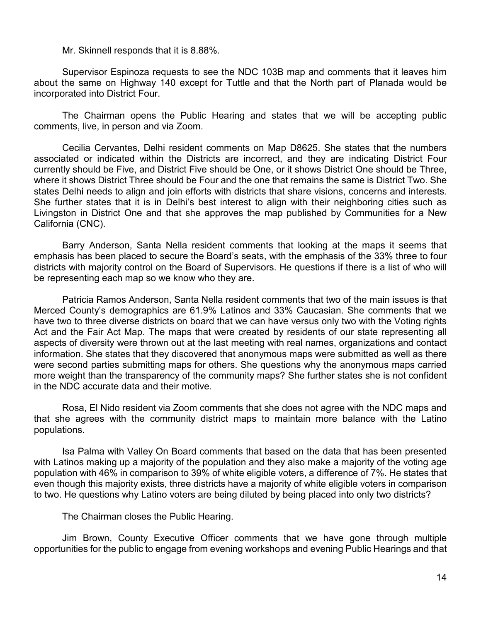Mr. Skinnell responds that it is 8.88%.

Supervisor Espinoza requests to see the NDC 103B map and comments that it leaves him about the same on Highway 140 except for Tuttle and that the North part of Planada would be incorporated into District Four.

The Chairman opens the Public Hearing and states that we will be accepting public comments, live, in person and via Zoom.

Cecilia Cervantes, Delhi resident comments on Map D8625. She states that the numbers associated or indicated within the Districts are incorrect, and they are indicating District Four currently should be Five, and District Five should be One, or it shows District One should be Three, where it shows District Three should be Four and the one that remains the same is District Two. She states Delhi needs to align and join efforts with districts that share visions, concerns and interests. She further states that it is in Delhi's best interest to align with their neighboring cities such as Livingston in District One and that she approves the map published by Communities for a New California (CNC).

Barry Anderson, Santa Nella resident comments that looking at the maps it seems that emphasis has been placed to secure the Board's seats, with the emphasis of the 33% three to four districts with majority control on the Board of Supervisors. He questions if there is a list of who will be representing each map so we know who they are.

Patricia Ramos Anderson, Santa Nella resident comments that two of the main issues is that Merced County's demographics are 61.9% Latinos and 33% Caucasian. She comments that we have two to three diverse districts on board that we can have versus only two with the Voting rights Act and the Fair Act Map. The maps that were created by residents of our state representing all aspects of diversity were thrown out at the last meeting with real names, organizations and contact information. She states that they discovered that anonymous maps were submitted as well as there were second parties submitting maps for others. She questions why the anonymous maps carried more weight than the transparency of the community maps? She further states she is not confident in the NDC accurate data and their motive.

Rosa, El Nido resident via Zoom comments that she does not agree with the NDC maps and that she agrees with the community district maps to maintain more balance with the Latino populations.

Isa Palma with Valley On Board comments that based on the data that has been presented with Latinos making up a majority of the population and they also make a majority of the voting age population with 46% in comparison to 39% of white eligible voters, a difference of 7%. He states that even though this majority exists, three districts have a majority of white eligible voters in comparison to two. He questions why Latino voters are being diluted by being placed into only two districts?

The Chairman closes the Public Hearing.

Jim Brown, County Executive Officer comments that we have gone through multiple opportunities for the public to engage from evening workshops and evening Public Hearings and that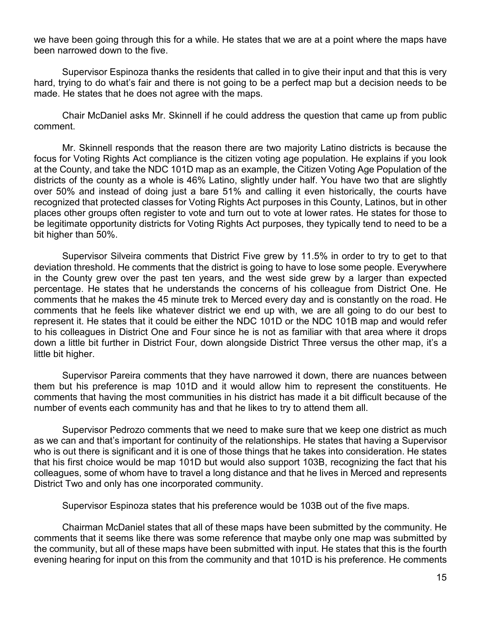we have been going through this for a while. He states that we are at a point where the maps have been narrowed down to the five.

Supervisor Espinoza thanks the residents that called in to give their input and that this is very hard, trying to do what's fair and there is not going to be a perfect map but a decision needs to be made. He states that he does not agree with the maps.

Chair McDaniel asks Mr. Skinnell if he could address the question that came up from public comment.

Mr. Skinnell responds that the reason there are two majority Latino districts is because the focus for Voting Rights Act compliance is the citizen voting age population. He explains if you look at the County, and take the NDC 101D map as an example, the Citizen Voting Age Population of the districts of the county as a whole is 46% Latino, slightly under half. You have two that are slightly over 50% and instead of doing just a bare 51% and calling it even historically, the courts have recognized that protected classes for Voting Rights Act purposes in this County, Latinos, but in other places other groups often register to vote and turn out to vote at lower rates. He states for those to be legitimate opportunity districts for Voting Rights Act purposes, they typically tend to need to be a bit higher than 50%.

Supervisor Silveira comments that District Five grew by 11.5% in order to try to get to that deviation threshold. He comments that the district is going to have to lose some people. Everywhere in the County grew over the past ten years, and the west side grew by a larger than expected percentage. He states that he understands the concerns of his colleague from District One. He comments that he makes the 45 minute trek to Merced every day and is constantly on the road. He comments that he feels like whatever district we end up with, we are all going to do our best to represent it. He states that it could be either the NDC 101D or the NDC 101B map and would refer to his colleagues in District One and Four since he is not as familiar with that area where it drops down a little bit further in District Four, down alongside District Three versus the other map, it's a little bit higher.

Supervisor Pareira comments that they have narrowed it down, there are nuances between them but his preference is map 101D and it would allow him to represent the constituents. He comments that having the most communities in his district has made it a bit difficult because of the number of events each community has and that he likes to try to attend them all.

Supervisor Pedrozo comments that we need to make sure that we keep one district as much as we can and that's important for continuity of the relationships. He states that having a Supervisor who is out there is significant and it is one of those things that he takes into consideration. He states that his first choice would be map 101D but would also support 103B, recognizing the fact that his colleagues, some of whom have to travel a long distance and that he lives in Merced and represents District Two and only has one incorporated community.

Supervisor Espinoza states that his preference would be 103B out of the five maps.

Chairman McDaniel states that all of these maps have been submitted by the community. He comments that it seems like there was some reference that maybe only one map was submitted by the community, but all of these maps have been submitted with input. He states that this is the fourth evening hearing for input on this from the community and that 101D is his preference. He comments